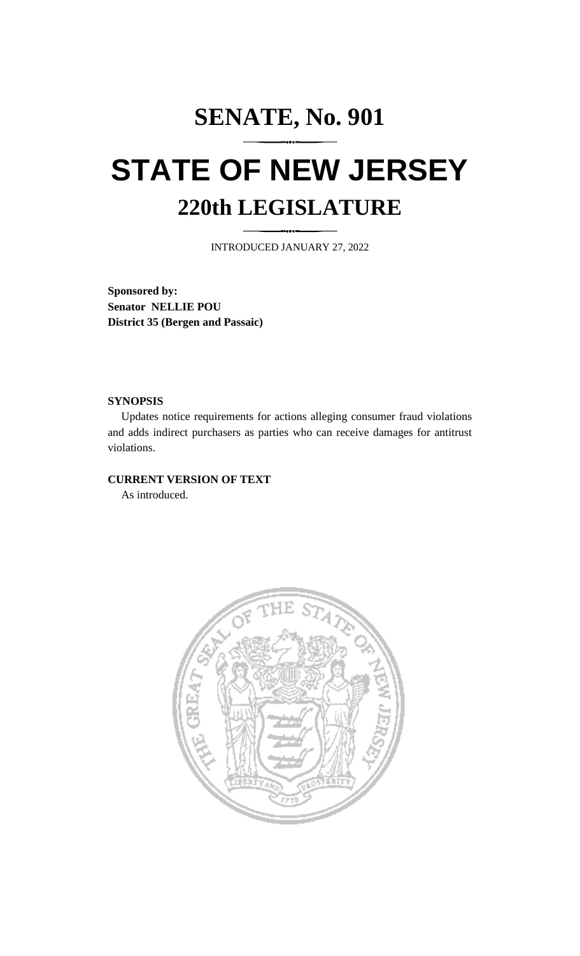# **SENATE, No. 901 STATE OF NEW JERSEY 220th LEGISLATURE**

INTRODUCED JANUARY 27, 2022

**Sponsored by: Senator NELLIE POU District 35 (Bergen and Passaic)**

## **SYNOPSIS**

Updates notice requirements for actions alleging consumer fraud violations and adds indirect purchasers as parties who can receive damages for antitrust violations.

## **CURRENT VERSION OF TEXT**

As introduced.

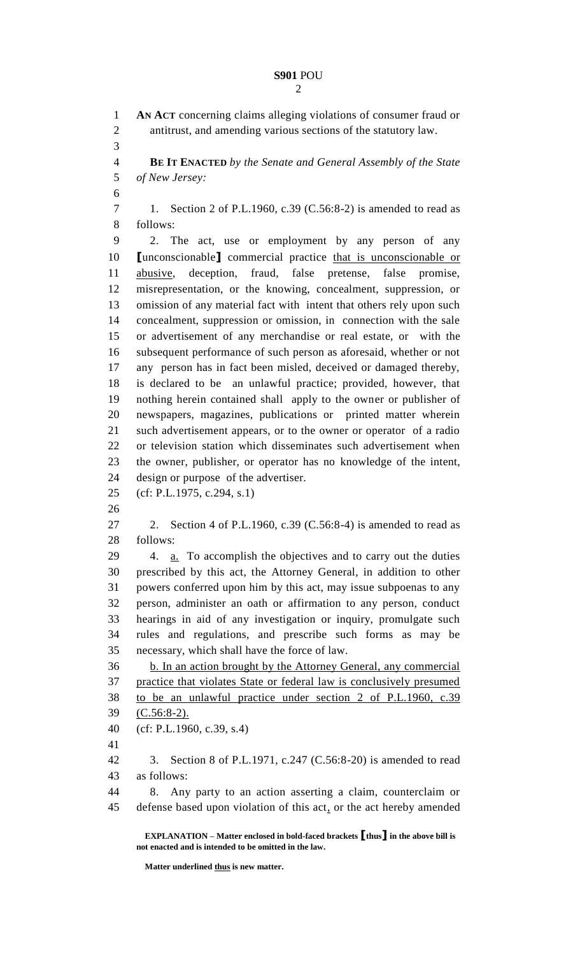# **S901** POU

 **AN ACT** concerning claims alleging violations of consumer fraud or antitrust, and amending various sections of the statutory law. **BE IT ENACTED** *by the Senate and General Assembly of the State of New Jersey:* 1. Section 2 of P.L.1960, c.39 (C.56:8-2) is amended to read as follows: 2. The act, use or employment by any person of any **[**unconscionable**]** commercial practice that is unconscionable or abusive, deception, fraud, false pretense, false promise, misrepresentation, or the knowing, concealment, suppression, or omission of any material fact with intent that others rely upon such concealment, suppression or omission, in connection with the sale or advertisement of any merchandise or real estate, or with the subsequent performance of such person as aforesaid, whether or not any person has in fact been misled, deceived or damaged thereby, is declared to be an unlawful practice; provided, however, that nothing herein contained shall apply to the owner or publisher of newspapers, magazines, publications or printed matter wherein such advertisement appears, or to the owner or operator of a radio or television station which disseminates such advertisement when the owner, publisher, or operator has no knowledge of the intent, design or purpose of the advertiser. (cf: P.L.1975, c.294, s.1) 2. Section 4 of P.L.1960, c.39 (C.56:8-4) is amended to read as follows: 4. a. To accomplish the objectives and to carry out the duties prescribed by this act, the Attorney General, in addition to other powers conferred upon him by this act, may issue subpoenas to any person, administer an oath or affirmation to any person, conduct hearings in aid of any investigation or inquiry, promulgate such rules and regulations, and prescribe such forms as may be necessary, which shall have the force of law. b. In an action brought by the Attorney General, any commercial practice that violates State or federal law is conclusively presumed to be an unlawful practice under section 2 of P.L.1960, c.39 (C.56:8-2). (cf: P.L.1960, c.39, s.4) 3. Section 8 of P.L.1971, c.247 (C.56:8-20) is amended to read as follows: 8. Any party to an action asserting a claim, counterclaim or defense based upon violation of this act, or the act hereby amended

**EXPLANATION – Matter enclosed in bold-faced brackets [thus] in the above bill is not enacted and is intended to be omitted in the law.**

**Matter underlined thus is new matter.**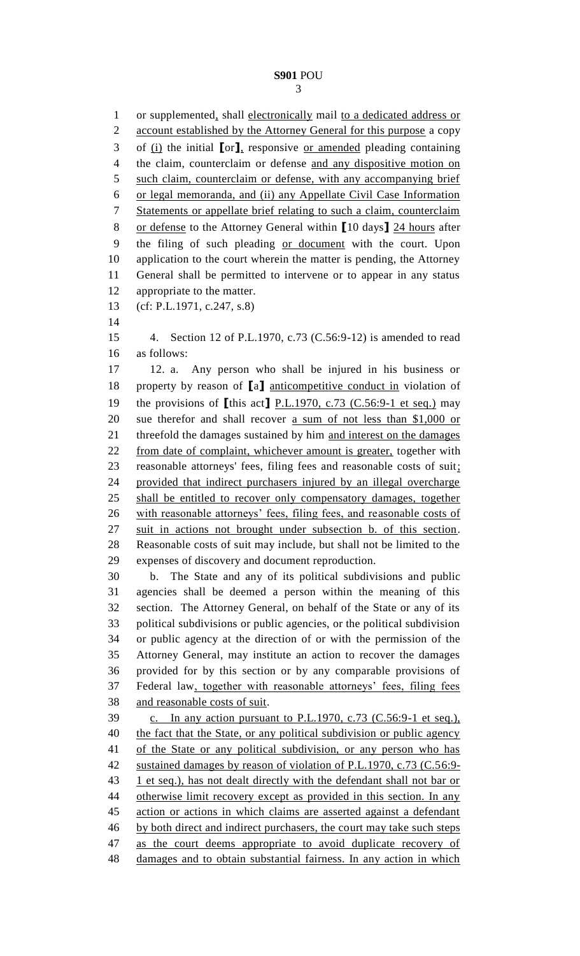1 or supplemented, shall electronically mail to a dedicated address or 2 account established by the Attorney General for this purpose a copy of (i) the initial **[**or**]**, responsive or amended pleading containing the claim, counterclaim or defense and any dispositive motion on such claim, counterclaim or defense, with any accompanying brief or legal memoranda, and (ii) any Appellate Civil Case Information Statements or appellate brief relating to such a claim, counterclaim or defense to the Attorney General within **[**10 days**]** 24 hours after the filing of such pleading or document with the court. Upon application to the court wherein the matter is pending, the Attorney General shall be permitted to intervene or to appear in any status appropriate to the matter. (cf: P.L.1971, c.247, s.8) 4. Section 12 of P.L.1970, c.73 (C.56:9-12) is amended to read as follows: 12. a. Any person who shall be injured in his business or property by reason of **[**a**]** anticompetitive conduct in violation of the provisions of **[**this act**]** P.L.1970, c.73 (C.56:9-1 et seq.) may 20 sue therefor and shall recover a sum of not less than \$1,000 or 21 threefold the damages sustained by him and interest on the damages from date of complaint, whichever amount is greater, together with reasonable attorneys' fees, filing fees and reasonable costs of suit; provided that indirect purchasers injured by an illegal overcharge shall be entitled to recover only compensatory damages, together 26 with reasonable attorneys' fees, filing fees, and reasonable costs of suit in actions not brought under subsection b. of this section. Reasonable costs of suit may include, but shall not be limited to the expenses of discovery and document reproduction. b. The State and any of its political subdivisions and public agencies shall be deemed a person within the meaning of this section. The Attorney General, on behalf of the State or any of its political subdivisions or public agencies, or the political subdivision or public agency at the direction of or with the permission of the Attorney General, may institute an action to recover the damages provided for by this section or by any comparable provisions of Federal law, together with reasonable attorneys' fees, filing fees and reasonable costs of suit. c. In any action pursuant to P.L.1970, c.73 (C.56:9-1 et seq.), 40 the fact that the State, or any political subdivision or public agency 41 of the State or any political subdivision, or any person who has sustained damages by reason of violation of P.L.1970, c.73 (C.56:9- 43 1 et seq.), has not dealt directly with the defendant shall not bar or 44 otherwise limit recovery except as provided in this section. In any action or actions in which claims are asserted against a defendant by both direct and indirect purchasers, the court may take such steps as the court deems appropriate to avoid duplicate recovery of damages and to obtain substantial fairness. In any action in which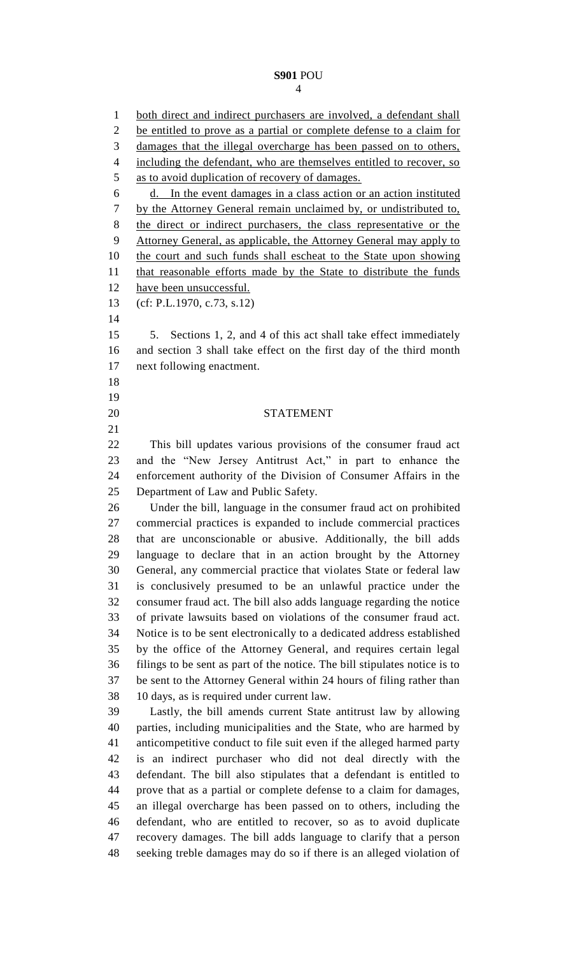#### **S901** POU

1 both direct and indirect purchasers are involved, a defendant shall be entitled to prove as a partial or complete defense to a claim for damages that the illegal overcharge has been passed on to others, 4 including the defendant, who are themselves entitled to recover, so as to avoid duplication of recovery of damages. d. In the event damages in a class action or an action instituted by the Attorney General remain unclaimed by, or undistributed to, the direct or indirect purchasers, the class representative or the Attorney General, as applicable, the Attorney General may apply to the court and such funds shall escheat to the State upon showing 11 that reasonable efforts made by the State to distribute the funds have been unsuccessful. (cf: P.L.1970, c.73, s.12) 5. Sections 1, 2, and 4 of this act shall take effect immediately and section 3 shall take effect on the first day of the third month next following enactment. STATEMENT This bill updates various provisions of the consumer fraud act and the "New Jersey Antitrust Act," in part to enhance the enforcement authority of the Division of Consumer Affairs in the Department of Law and Public Safety. Under the bill, language in the consumer fraud act on prohibited commercial practices is expanded to include commercial practices that are unconscionable or abusive. Additionally, the bill adds language to declare that in an action brought by the Attorney General, any commercial practice that violates State or federal law is conclusively presumed to be an unlawful practice under the consumer fraud act. The bill also adds language regarding the notice of private lawsuits based on violations of the consumer fraud act. Notice is to be sent electronically to a dedicated address established by the office of the Attorney General, and requires certain legal filings to be sent as part of the notice. The bill stipulates notice is to be sent to the Attorney General within 24 hours of filing rather than 10 days, as is required under current law. Lastly, the bill amends current State antitrust law by allowing parties, including municipalities and the State, who are harmed by anticompetitive conduct to file suit even if the alleged harmed party is an indirect purchaser who did not deal directly with the defendant. The bill also stipulates that a defendant is entitled to prove that as a partial or complete defense to a claim for damages, an illegal overcharge has been passed on to others, including the defendant, who are entitled to recover, so as to avoid duplicate recovery damages. The bill adds language to clarify that a person seeking treble damages may do so if there is an alleged violation of